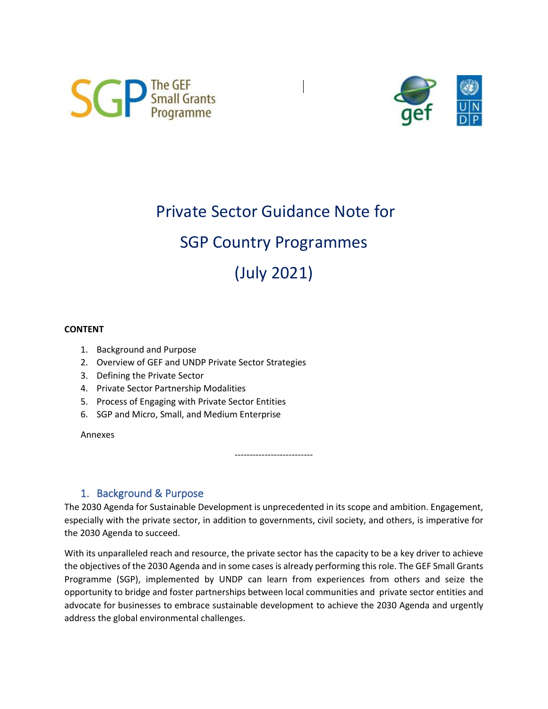



# Private Sector Guidance Note for

# SGP Country Programmes

(July 2021)

### **CONTENT**

- 1. Background and Purpose
- 2. Overview of GEF and UNDP Private Sector Strategies
- 3. Defining the Private Sector
- 4. Private Sector Partnership Modalities
- 5. Process of Engaging with Private Sector Entities
- 6. SGP and Micro, Small, and Medium Enterprise

Annexes

--------------------------

# 1. Background & Purpose

The 2030 Agenda for Sustainable Development is unprecedented in its scope and ambition. Engagement, especially with the private sector, in addition to governments, civil society, and others, is imperative for the 2030 Agenda to succeed.

With its unparalleled reach and resource, the private sector has the capacity to be a key driver to achieve the objectives of the 2030 Agenda and in some cases is already performing this role. The GEF Small Grants Programme (SGP), implemented by UNDP can learn from experiences from others and seize the opportunity to bridge and foster partnerships between local communities and private sector entities and advocate for businesses to embrace sustainable development to achieve the 2030 Agenda and urgently address the global environmental challenges.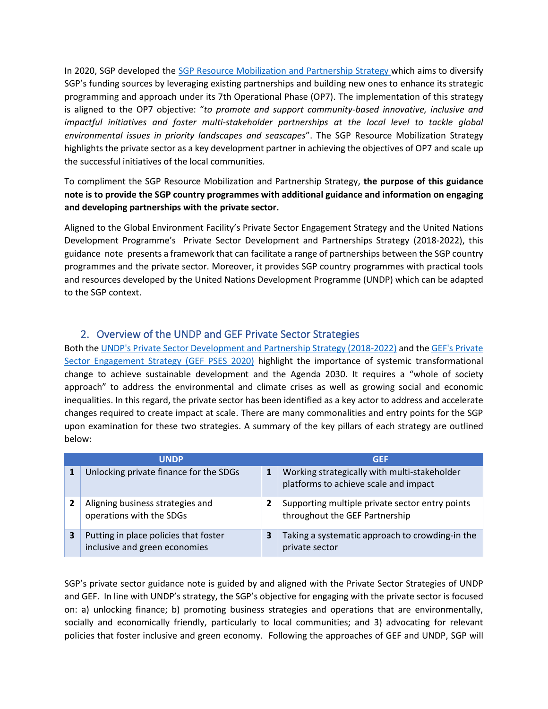In 2020, SGP developed the [SGP Resource Mobilization and Partnership Strategy](http://sgp.undp.org/intranet/public/fmshare/q3G3) which aims to diversify SGP's funding sources by leveraging existing partnerships and building new ones to enhance its strategic programming and approach under its 7th Operational Phase (OP7). The implementation of this strategy is aligned to the OP7 objective: "*to promote and support community-based innovative, inclusive and impactful initiatives and foster multi-stakeholder partnerships at the local level to tackle global environmental issues in priority landscapes and seascapes*". The SGP Resource Mobilization Strategy highlights the private sector as a key development partner in achieving the objectives of OP7 and scale up the successful initiatives of the local communities.

To compliment the SGP Resource Mobilization and Partnership Strategy, **the purpose of this guidance note is to provide the SGP country programmes with additional guidance and information on engaging and developing partnerships with the private sector.** 

Aligned to the Global Environment Facility's Private Sector Engagement Strategy and the [United Nations](https://www.undp.org/content/undp/en/home/librarypage/poverty-reduction/private_sector/undp-private-sector-strategy-2018-2022.html)  [Development Programme's Private Sector Development and Partnerships Strategy](https://www.undp.org/content/undp/en/home/librarypage/poverty-reduction/private_sector/undp-private-sector-strategy-2018-2022.html) (2018-2022), this guidance note presents a framework that can facilitate a range of partnerships between the SGP country programmes and the private sector. Moreover, it provides SGP country programmes with practical tools and resources developed by the United Nations Development Programme (UNDP) which can be adapted to the SGP context.

# 2. Overview of the UNDP and GEF Private Sector Strategies

Both the [UNDP's Private Sector Development and Partnership Strategy \(2018-2022\)](https://www.undp.org/content/undp/en/home/librarypage/poverty-reduction/private_sector/undp-private-sector-strategy-2018-2022.html) and the [GEF's Private](https://www.thegef.org/sites/default/files/council-meetingdocuments/EN_GEF.C.59.07.Rev_.01_GEFs%20Private%20Sector%20Engagement%20Strategy_.pdf)  [Sector Engagement Strategy \(GEF PSES 2020\)](https://www.thegef.org/sites/default/files/council-meetingdocuments/EN_GEF.C.59.07.Rev_.01_GEFs%20Private%20Sector%20Engagement%20Strategy_.pdf) highlight the importance of systemic transformational change to achieve sustainable development and the Agenda 2030. It requires a "whole of society approach" to address the environmental and climate crises as well as growing social and economic inequalities. In this regard, the private sector has been identified as a key actor to address and accelerate changes required to create impact at scale. There are many commonalities and entry points for the SGP upon examination for these two strategies. A summary of the key pillars of each strategy are outlined below:

| <b>UNDP</b> |                                                                        | <b>GEF</b> |                                                                                       |
|-------------|------------------------------------------------------------------------|------------|---------------------------------------------------------------------------------------|
|             | Unlocking private finance for the SDGs                                 | 1          | Working strategically with multi-stakeholder<br>platforms to achieve scale and impact |
|             | Aligning business strategies and<br>operations with the SDGs           | 2          | Supporting multiple private sector entry points<br>throughout the GEF Partnership     |
| 3           | Putting in place policies that foster<br>inclusive and green economies | 3          | Taking a systematic approach to crowding-in the<br>private sector                     |

SGP's private sector guidance note is guided by and aligned with the Private Sector Strategies of UNDP and GEF. In line with UNDP's strategy, the SGP's objective for engaging with the private sector is focused on: a) unlocking finance; b) promoting business strategies and operations that are environmentally, socially and economically friendly, particularly to local communities; and 3) advocating for relevant policies that foster inclusive and green economy. Following the approaches of GEF and UNDP, SGP will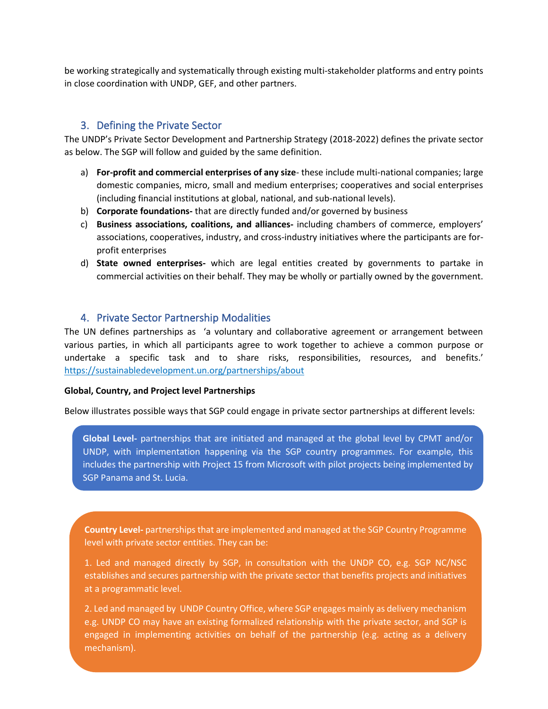be working strategically and systematically through existing multi-stakeholder platforms and entry points in close coordination with UNDP, GEF, and other partners.

### 3. Defining the Private Sector

The UNDP's Private Sector Development and Partnership Strategy (2018-2022) defines the private sector as below. The SGP will follow and guided by the same definition.

- a) **For-profit and commercial enterprises of any size** these include multi-national companies; large domestic companies, micro, small and medium enterprises; cooperatives and social enterprises (including financial institutions at global, national, and sub-national levels).
- b) **Corporate foundations-** that are directly funded and/or governed by business
- c) **Business associations, coalitions, and alliances-** including chambers of commerce, employers' associations, cooperatives, industry, and cross-industry initiatives where the participants are forprofit enterprises
- d) **State owned enterprises-** which are legal entities created by governments to partake in commercial activities on their behalf. They may be wholly or partially owned by the government.

### 4. Private Sector Partnership Modalities

The UN defines partnerships as 'a voluntary and collaborative agreement or arrangement between various parties, in which all participants agree to work together to achieve a common purpose or undertake a specific task and to share risks, responsibilities, resources, and benefits.' <https://sustainabledevelopment.un.org/partnerships/about>

#### **Global, Country, and Project level Partnerships**

Below illustrates possible ways that SGP could engage in private sector partnerships at different levels:

**Global Level-** partnerships that are initiated and managed at the global level by CPMT and/or UNDP, with implementation happening via the SGP country programmes. For example, this includes the partnership with Project 15 from Microsoft with pilot projects being implemented by SGP Panama and St. Lucia.

**Country Level-** partnerships that are implemented and managed at the SGP Country Programme level with private sector entities. They can be:

1. Led and managed directly by SGP, in consultation with the UNDP CO, e.g. SGP NC/NSC establishes and secures partnership with the private sector that benefits projects and initiatives at a programmatic level.

2. Led and managed by UNDP Country Office, where SGP engages mainly as delivery mechanism e.g. UNDP CO may have an existing formalized relationship with the private sector, and SGP is engaged in implementing activities on behalf of the partnership (e.g. acting as a delivery mechanism).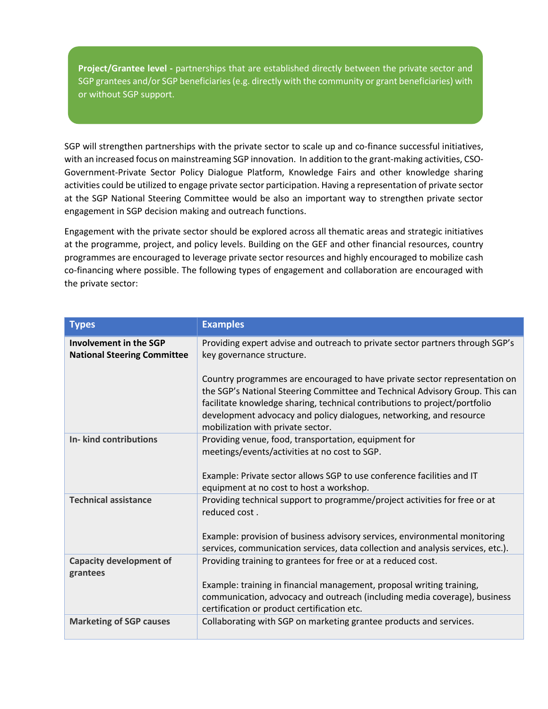or without SGP support. **Project/Grantee level -** partnerships that are established directly between the private sector and SGP grantees and/or SGP beneficiaries (e.g. directly with the community or grant beneficiaries) with

SGP will strengthen partnerships with the private sector to scale up and co-finance successful initiatives, with an increased focus on mainstreaming SGP innovation. In addition to the grant-making activities, CSO-Government-Private Sector Policy Dialogue Platform, Knowledge Fairs and other knowledge sharing activities could be utilized to engage private sector participation. Having a representation of private sector at the SGP National Steering Committee would be also an important way to strengthen private sector engagement in SGP decision making and outreach functions.

Engagement with the private sector should be explored across all thematic areas and strategic initiatives at the programme, project, and policy levels. Building on the GEF and other financial resources, country programmes are encouraged to leverage private sector resources and highly encouraged to mobilize cash co-financing where possible. The following types of engagement and collaboration are encouraged with the private sector:

| <b>Types</b>                                                        | <b>Examples</b>                                                                                                                                                                                                                                                                                                                                      |
|---------------------------------------------------------------------|------------------------------------------------------------------------------------------------------------------------------------------------------------------------------------------------------------------------------------------------------------------------------------------------------------------------------------------------------|
| <b>Involvement in the SGP</b><br><b>National Steering Committee</b> | Providing expert advise and outreach to private sector partners through SGP's<br>key governance structure.                                                                                                                                                                                                                                           |
|                                                                     | Country programmes are encouraged to have private sector representation on<br>the SGP's National Steering Committee and Technical Advisory Group. This can<br>facilitate knowledge sharing, technical contributions to project/portfolio<br>development advocacy and policy dialogues, networking, and resource<br>mobilization with private sector. |
| <b>In- kind contributions</b>                                       | Providing venue, food, transportation, equipment for<br>meetings/events/activities at no cost to SGP.<br>Example: Private sector allows SGP to use conference facilities and IT<br>equipment at no cost to host a workshop.                                                                                                                          |
| <b>Technical assistance</b>                                         | Providing technical support to programme/project activities for free or at<br>reduced cost.<br>Example: provision of business advisory services, environmental monitoring<br>services, communication services, data collection and analysis services, etc.).                                                                                         |
| <b>Capacity development of</b><br>grantees                          | Providing training to grantees for free or at a reduced cost.<br>Example: training in financial management, proposal writing training,<br>communication, advocacy and outreach (including media coverage), business<br>certification or product certification etc.                                                                                   |
| <b>Marketing of SGP causes</b>                                      | Collaborating with SGP on marketing grantee products and services.                                                                                                                                                                                                                                                                                   |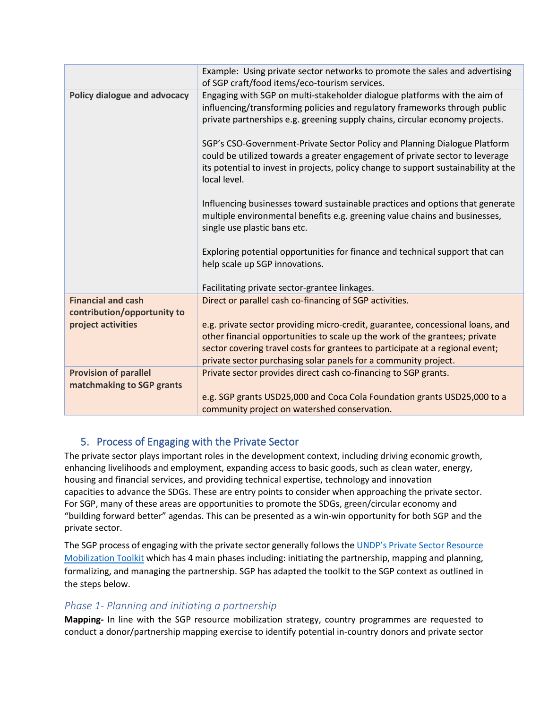|                                                           | Example: Using private sector networks to promote the sales and advertising<br>of SGP craft/food items/eco-tourism services.                                                                                                                                                                                      |
|-----------------------------------------------------------|-------------------------------------------------------------------------------------------------------------------------------------------------------------------------------------------------------------------------------------------------------------------------------------------------------------------|
| Policy dialogue and advocacy                              | Engaging with SGP on multi-stakeholder dialogue platforms with the aim of<br>influencing/transforming policies and regulatory frameworks through public<br>private partnerships e.g. greening supply chains, circular economy projects.                                                                           |
|                                                           | SGP's CSO-Government-Private Sector Policy and Planning Dialogue Platform<br>could be utilized towards a greater engagement of private sector to leverage<br>its potential to invest in projects, policy change to support sustainability at the<br>local level.                                                  |
|                                                           | Influencing businesses toward sustainable practices and options that generate<br>multiple environmental benefits e.g. greening value chains and businesses,<br>single use plastic bans etc.                                                                                                                       |
|                                                           | Exploring potential opportunities for finance and technical support that can<br>help scale up SGP innovations.                                                                                                                                                                                                    |
|                                                           | Facilitating private sector-grantee linkages.                                                                                                                                                                                                                                                                     |
| <b>Financial and cash</b><br>contribution/opportunity to  | Direct or parallel cash co-financing of SGP activities.                                                                                                                                                                                                                                                           |
| project activities                                        | e.g. private sector providing micro-credit, guarantee, concessional loans, and<br>other financial opportunities to scale up the work of the grantees; private<br>sector covering travel costs for grantees to participate at a regional event;<br>private sector purchasing solar panels for a community project. |
| <b>Provision of parallel</b><br>matchmaking to SGP grants | Private sector provides direct cash co-financing to SGP grants.                                                                                                                                                                                                                                                   |
|                                                           | e.g. SGP grants USD25,000 and Coca Cola Foundation grants USD25,000 to a<br>community project on watershed conservation.                                                                                                                                                                                          |
|                                                           |                                                                                                                                                                                                                                                                                                                   |

# 5. Process of Engaging with the Private Sector

The private sector plays important roles in the development context, including driving economic growth, enhancing livelihoods and employment, expanding access to basic goods, such as clean water, energy, housing and financial services, and providing technical expertise, technology and innovation capacities to advance the SDGs. These are entry points to consider when approaching the private sector. For SGP, many of these areas are opportunities to promote the SDGs, green/circular economy and "building forward better" agendas. This can be presented as a win-win opportunity for both SGP and the private sector.

The SGP process of engaging with the private sector generally follows the UNDP's Private Sector Resource [Mobilization Toolkit](https://undp.sharepoint.com/teams/psrm/SitePages/MappingandPlanning.aspx) which has 4 main phases including: initiating the partnership, mapping and planning, formalizing, and managing the partnership. SGP has adapted the toolkit to the SGP context as outlined in the steps below.

# *Phase 1- Planning and initiating a partnership*

**Mapping-** In line with the SGP resource mobilization strategy, country programmes are requested to conduct a donor/partnership mapping exercise to identify potential in-country donors and private sector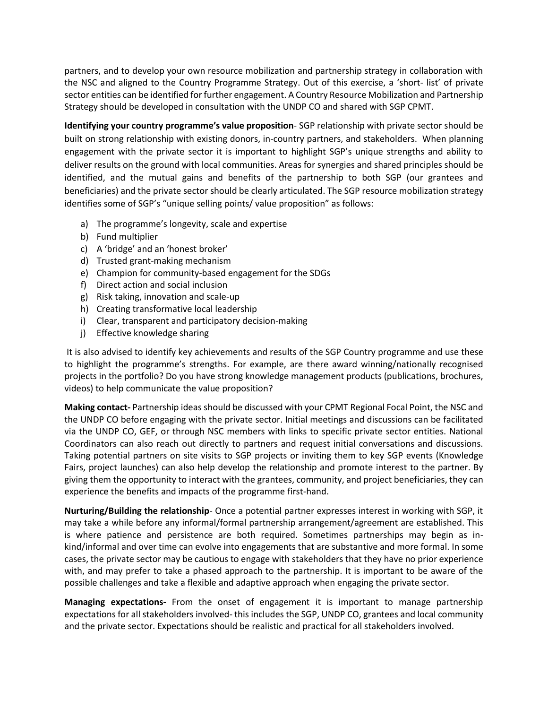partners, and to develop your own resource mobilization and partnership strategy in collaboration with the NSC and aligned to the Country Programme Strategy. Out of this exercise, a 'short- list' of private sector entities can be identified for further engagement. A Country Resource Mobilization and Partnership Strategy should be developed in consultation with the UNDP CO and shared with SGP CPMT.

**Identifying your country programme's value proposition**- SGP relationship with private sector should be built on strong relationship with existing donors, in-country partners, and stakeholders. When planning engagement with the private sector it is important to highlight SGP's unique strengths and ability to deliver results on the ground with local communities. Areas for synergies and shared principles should be identified, and the mutual gains and benefits of the partnership to both SGP (our grantees and beneficiaries) and the private sector should be clearly articulated. The SGP resource mobilization strategy identifies some of SGP's "unique selling points/ value proposition" as follows:

- a) The programme's longevity, scale and expertise
- b) Fund multiplier
- c) A 'bridge' and an 'honest broker'
- d) Trusted grant-making mechanism
- e) Champion for community-based engagement for the SDGs
- f) Direct action and social inclusion
- g) Risk taking, innovation and scale-up
- h) Creating transformative local leadership
- i) Clear, transparent and participatory decision-making
- j) Effective knowledge sharing

It is also advised to identify key achievements and results of the SGP Country programme and use these to highlight the programme's strengths. For example, are there award winning/nationally recognised projects in the portfolio? Do you have strong knowledge management products (publications, brochures, videos) to help communicate the value proposition?

**Making contact-** Partnership ideas should be discussed with your CPMT Regional Focal Point, the NSC and the UNDP CO before engaging with the private sector. Initial meetings and discussions can be facilitated via the UNDP CO, GEF, or through NSC members with links to specific private sector entities. National Coordinators can also reach out directly to partners and request initial conversations and discussions. Taking potential partners on site visits to SGP projects or inviting them to key SGP events (Knowledge Fairs, project launches) can also help develop the relationship and promote interest to the partner. By giving them the opportunity to interact with the grantees, community, and project beneficiaries, they can experience the benefits and impacts of the programme first-hand.

**Nurturing/Building the relationship**- Once a potential partner expresses interest in working with SGP, it may take a while before any informal/formal partnership arrangement/agreement are established. This is where patience and persistence are both required. Sometimes partnerships may begin as inkind/informal and over time can evolve into engagements that are substantive and more formal. In some cases, the private sector may be cautious to engage with stakeholders that they have no prior experience with, and may prefer to take a phased approach to the partnership. It is important to be aware of the possible challenges and take a flexible and adaptive approach when engaging the private sector.

**Managing expectations-** From the onset of engagement it is important to manage partnership expectations for all stakeholders involved- this includes the SGP, UNDP CO, grantees and local community and the private sector. Expectations should be realistic and practical for all stakeholders involved.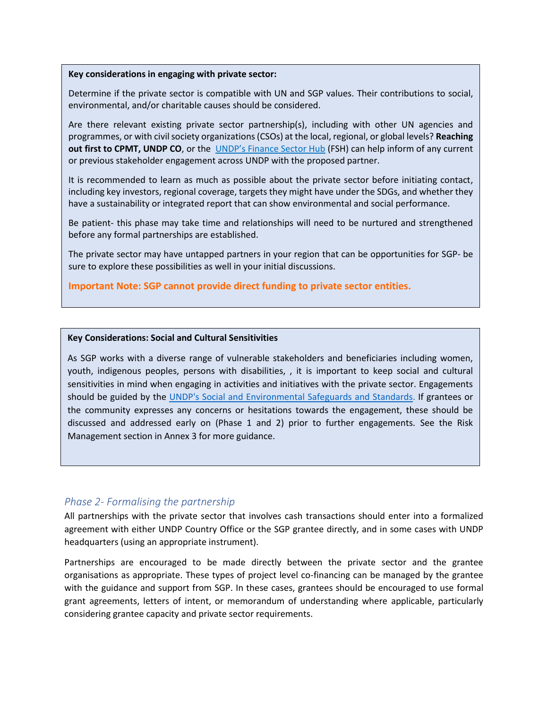#### **Key considerations in engaging with private sector:**

Determine if the private sector is compatible with UN and SGP values. Their contributions to social, environmental, and/or charitable causes should be considered.

Are there relevant existing private sector partnership(s), including with other UN agencies and programmes, or with civil society organizations (CSOs) at the local, regional, or global levels? **Reaching out first to CPMT, UNDP CO**, or the [UNDP's Finance Sector Hub](https://sdgfinance.undp.org/) (FSH) can help inform of any current or previous stakeholder engagement across UNDP with the proposed partner.

It is recommended to learn as much as possible about the private sector before initiating contact, including key investors, regional coverage, targets they might have under the SDGs, and whether they have a sustainability or integrated report that can show environmental and social performance.

Be patient- this phase may take time and relationships will need to be nurtured and strengthened before any formal partnerships are established.

The private sector may have untapped partners in your region that can be opportunities for SGP- be sure to explore these possibilities as well in your initial discussions.

**Important Note: SGP cannot provide direct funding to private sector entities.**

#### **Key Considerations: Social and Cultural Sensitivities**

As SGP works with a diverse range of vulnerable stakeholders and beneficiaries including women, youth, indigenous peoples, persons with disabilities, , it is important to keep social and cultural sensitivities in mind when engaging in activities and initiatives with the private sector. Engagements should be guided by the [UNDP's Social and Environmental Safeguards and Standards.](https://www.undp.org/content/undp/en/home/accountability/social-and-environmental-responsibility/social-and-environmental-standards.html) If grantees or the community expresses any concerns or hesitations towards the engagement, these should be discussed and addressed early on (Phase 1 and 2) prior to further engagements. See the Risk Management section in Annex 3 for more guidance.

### *Phase 2- Formalising the partnership*

All partnerships with the private sector that involves cash transactions should enter into a formalized agreement with either UNDP Country Office or the SGP grantee directly, and in some cases with UNDP headquarters (using an appropriate instrument).

Partnerships are encouraged to be made directly between the private sector and the grantee organisations as appropriate. These types of project level co-financing can be managed by the grantee with the guidance and support from SGP. In these cases, grantees should be encouraged to use formal grant agreements, letters of intent, or memorandum of understanding where applicable, particularly considering grantee capacity and private sector requirements.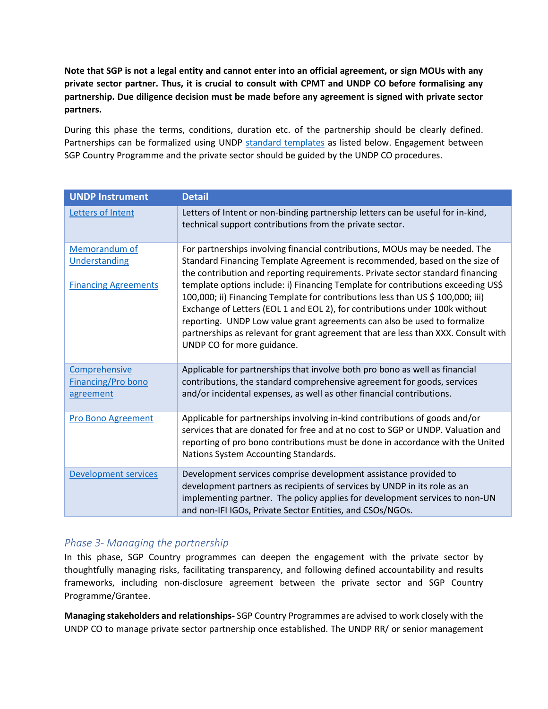**Note that SGP is not a legal entity and cannot enter into an official agreement, or sign MOUs with any private sector partner. Thus, it is crucial to consult with CPMT and UNDP CO before formalising any partnership. Due diligence decision must be made before any agreement is signed with private sector partners.**

During this phase the terms, conditions, duration etc. of the partnership should be clearly defined. Partnerships can be formalized using UNDP [standard templates](https://intranet.undp.org/unit/pb/resmob/SitePages/standard_contribution.aspx) as listed below. Engagement between SGP Country Programme and the private sector should be guided by the UNDP CO procedures.

| <b>UNDP Instrument</b>                                        | <b>Detail</b>                                                                                                                                                                                                                                                                                                                                                                                                                                                                                                                                                                                                                                                                                    |
|---------------------------------------------------------------|--------------------------------------------------------------------------------------------------------------------------------------------------------------------------------------------------------------------------------------------------------------------------------------------------------------------------------------------------------------------------------------------------------------------------------------------------------------------------------------------------------------------------------------------------------------------------------------------------------------------------------------------------------------------------------------------------|
| Letters of Intent                                             | Letters of Intent or non-binding partnership letters can be useful for in-kind,<br>technical support contributions from the private sector.                                                                                                                                                                                                                                                                                                                                                                                                                                                                                                                                                      |
| Memorandum of<br>Understanding<br><b>Financing Agreements</b> | For partnerships involving financial contributions, MOUs may be needed. The<br>Standard Financing Template Agreement is recommended, based on the size of<br>the contribution and reporting requirements. Private sector standard financing<br>template options include: i) Financing Template for contributions exceeding US\$<br>100,000; ii) Financing Template for contributions less than US \$ 100,000; iii)<br>Exchange of Letters (EOL 1 and EOL 2), for contributions under 100k without<br>reporting. UNDP Low value grant agreements can also be used to formalize<br>partnerships as relevant for grant agreement that are less than XXX. Consult with<br>UNDP CO for more guidance. |
| Comprehensive<br><b>Financing/Pro bono</b><br>agreement       | Applicable for partnerships that involve both pro bono as well as financial<br>contributions, the standard comprehensive agreement for goods, services<br>and/or incidental expenses, as well as other financial contributions.                                                                                                                                                                                                                                                                                                                                                                                                                                                                  |
| <b>Pro Bono Agreement</b>                                     | Applicable for partnerships involving in-kind contributions of goods and/or<br>services that are donated for free and at no cost to SGP or UNDP. Valuation and<br>reporting of pro bono contributions must be done in accordance with the United<br>Nations System Accounting Standards.                                                                                                                                                                                                                                                                                                                                                                                                         |
| <b>Development services</b>                                   | Development services comprise development assistance provided to<br>development partners as recipients of services by UNDP in its role as an<br>implementing partner. The policy applies for development services to non-UN<br>and non-IFI IGOs, Private Sector Entities, and CSOs/NGOs.                                                                                                                                                                                                                                                                                                                                                                                                         |

# *Phase 3- Managing the partnership*

In this phase, SGP Country programmes can deepen the engagement with the private sector by thoughtfully managing risks, facilitating transparency, and following defined accountability and results frameworks, including non-disclosure agreement between the private sector and SGP Country Programme/Grantee.

**Managing stakeholders and relationships-** SGP Country Programmes are advised to work closely with the UNDP CO to manage private sector partnership once established. The UNDP RR/ or senior management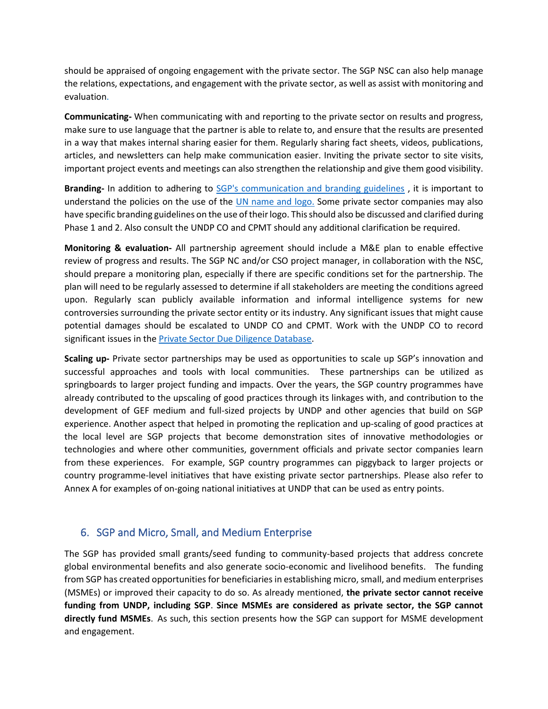should be appraised of ongoing engagement with the private sector. The SGP NSC can also help manage the relations, expectations, and engagement with the private sector, as well as assist with monitoring and evaluation.

**Communicating-** When communicating with and reporting to the private sector on results and progress, make sure to use language that the partner is able to relate to, and ensure that the results are presented in a way that makes internal sharing easier for them. Regularly sharing fact sheets, videos, publications, articles, and newsletters can help make communication easier. Inviting the private sector to site visits, important project events and meetings can also strengthen the relationship and give them good visibility.

**Branding-** In addition to adhering to [SGP's communication and branding guidelines](http://sgp.undp.org/intranet/public/fmshare/P0QQ) , it is important to understand the policies on the use of the [UN name and logo.](https://undp.sharepoint.com/teams/psrm/SitePages/Managing.aspx#using-the-undp-logo) Some private sector companies may also have specific branding guidelines on the use of their logo. This should also be discussed and clarified during Phase 1 and 2. Also consult the UNDP CO and CPMT should any additional clarification be required.

**Monitoring & evaluation-** All partnership agreement should include a M&E plan to enable effective review of progress and results. The SGP NC and/or CSO project manager, in collaboration with the NSC, should prepare a monitoring plan, especially if there are specific conditions set for the partnership. The plan will need to be regularly assessed to determine if all stakeholders are meeting the conditions agreed upon. Regularly scan publicly available information and informal intelligence systems for new controversies surrounding the private sector entity or its industry. Any significant issues that might cause potential damages should be escalated to UNDP CO and CPMT. Work with the UNDP CO to record significant issues in th[e Private Sector Due Diligence Database.](https://apps.powerapps.com/play/providers/Microsoft.PowerApps/apps/7d6a9da4-b6a6-4012-a48d-bf10998c0899?source=portal&environment-name=Default-b3e5db5e-2944-4837-99f5-7488ace54319&authMode=Default)

**Scaling up-** Private sector partnerships may be used as opportunities to scale up SGP's innovation and successful approaches and tools with local communities. These partnerships can be utilized as springboards to larger project funding and impacts. Over the years, the SGP country programmes have already contributed to the upscaling of good practices through its linkages with, and contribution to the development of GEF medium and full-sized projects by UNDP and other agencies that build on SGP experience. Another aspect that helped in promoting the replication and up-scaling of good practices at the local level are SGP projects that become demonstration sites of innovative methodologies or technologies and where other communities, government officials and private sector companies learn from these experiences. For example, SGP country programmes can piggyback to larger projects or country programme-level initiatives that have existing private sector partnerships. Please also refer to Annex A for examples of on-going national initiatives at UNDP that can be used as entry points.

# 6. SGP and Micro, Small, and Medium Enterprise

The SGP has provided small grants/seed funding to community-based projects that address concrete global environmental benefits and also generate socio-economic and livelihood benefits. The funding from SGP has created opportunities for beneficiaries in establishing micro, small, and medium enterprises (MSMEs) or improved their capacity to do so. As already mentioned, **the private sector cannot receive funding from UNDP, including SGP**. **Since MSMEs are considered as private sector, the SGP cannot directly fund MSMEs**. As such, this section presents how the SGP can support for MSME development and engagement.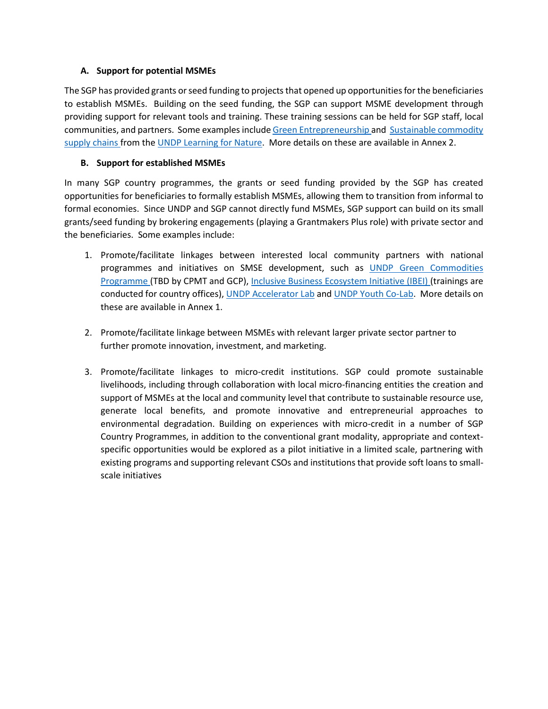### **A. Support for potential MSMEs**

The SGP has provided grants or seed funding to projects that opened up opportunities for the beneficiaries to establish MSMEs. Building on the seed funding, the SGP can support MSME development through providing support for relevant tools and training. These training sessions can be held for SGP staff, local communities, and partners. Some examples includ[e Green Entrepreneurship](https://www.learningfornature.org/en/courses/green-entrepreneurship/?__cf_chl_jschl_tk__=d98d87d4699ab10a798cef06cc0574564f1e53f8-1614281875-0-AbNgy5qf5gbsGmrww89tytGTOIdJBQxnTHp6DaA8nmQKt16O7uTh7zl0674WTAcWvZeqPMgZIp-l6FBgtAVEVkzPWiMXehNDqii1-AOa80VdUCowpsYwyvYtRKZKwZfdI--DX52WTEjM7uXjCAomB6P00kmZeKuc49-2vuAAlYYcn_z-4dL2F3HmNRk-GQv_0jz3_vHDw1vIa2xsHrNDu-NUCQFjuG97NMAbVpfk67aO0D5I2_ysE8hkJH6g5jmQyNV3vm-m3aCwBmLPhW3aRdMnOz94dirMJdJEu3Sb3j4Knv0dmPQo3K4N2pQOE18w26AwroBwV_gpGZtWxszNI_uXVgQdBoed2LoFrduvzqLS) and [Sustainable commodity](https://www.learningfornature.org/en/courses/nature-based-solutions-for-sustainable-development/)  [supply chains](https://www.learningfornature.org/en/courses/nature-based-solutions-for-sustainable-development/) from the [UNDP Learning for Nature.](https://www.learningfornature.org/en/about/) More details on these are available in Annex 2.

### **B. Support for established MSMEs**

In many SGP country programmes, the grants or seed funding provided by the SGP has created opportunities for beneficiaries to formally establish MSMEs, allowing them to transition from informal to formal economies. Since UNDP and SGP cannot directly fund MSMEs, SGP support can build on its small grants/seed funding by brokering engagements (playing a Grantmakers Plus role) with private sector and the beneficiaries. Some examples include:

- 1. Promote/facilitate linkages between interested local community partners with national programmes and initiatives on SMSE development, such as [UNDP Green Commodities](https://www.greencommodities.org/content/gcp/en/home.html)  [Programme](https://www.greencommodities.org/content/gcp/en/home.html) (TBD by CPMT and GCP)[, Inclusive Business Ecosystem Initiative \(IBEI\)](https://www.africa.undp.org/content/rba/en/home/about-us/AFIM/inclusive-business-in-africa0.html) (trainings are conducted for country offices)[, UNDP Accelerator Lab](https://acceleratorlabs.undp.org/content/acceleratorlabs/en/home.html) and [UNDP Youth Co-Lab.](https://www.youthcolab.org/about) More details on these are available in Annex 1.
- 2. Promote/facilitate linkage between MSMEs with relevant larger private sector partner to further promote innovation, investment, and marketing.
- 3. Promote/facilitate linkages to micro-credit institutions. SGP could promote sustainable livelihoods, including through collaboration with local micro-financing entities the creation and support of MSMEs at the local and community level that contribute to sustainable resource use, generate local benefits, and promote innovative and entrepreneurial approaches to environmental degradation. Building on experiences with micro-credit in a number of SGP Country Programmes, in addition to the conventional grant modality, appropriate and contextspecific opportunities would be explored as a pilot initiative in a limited scale, partnering with existing programs and supporting relevant CSOs and institutions that provide soft loans to smallscale initiatives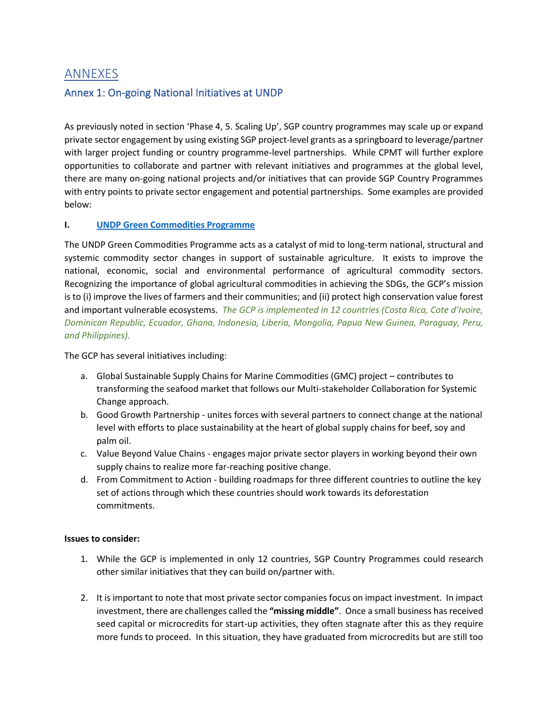# ANNEXES

# Annex 1: On-going National Initiatives at UNDP

As previously noted in section 'Phase 4, 5. Scaling Up', SGP country programmes may scale up or expand private sector engagement by using existing SGP project-level grants as a springboard to leverage/partner with larger project funding or country programme-level partnerships. While CPMT will further explore opportunities to collaborate and partner with relevant initiatives and programmes at the global level, there are many on-going national projects and/or initiatives that can provide SGP Country Programmes with entry points to private sector engagement and potential partnerships. Some examples are provided below:

### **I. [UNDP Green Commodities Programme](https://www.greencommodities.org/content/gcp/en/home.html)**

The UNDP Green Commodities Programme acts as a catalyst of mid to long-term national, structural and systemic commodity sector changes in support of sustainable agriculture. It exists to improve the national, economic, social and environmental performance of agricultural commodity sectors. Recognizing the importance of global agricultural commodities in achieving the SDGs, the GCP's mission is to (i) improve the lives of farmers and their communities; and (ii) protect high conservation value forest and important vulnerable ecosystems. *The GCP is implemented in 12 countries (Costa Rica, Cote d'Ivoire, Dominican Republic, Ecuador, Ghana, Indonesia, Liberia, Mongolia, Papua New Guinea, Paraguay, Peru, and Philippines).*

The GCP has several initiatives including:

- a. Global Sustainable Supply Chains for Marine Commodities (GMC) project contributes to transforming the seafood market that follows our Multi-stakeholder Collaboration for Systemic Change approach.
- b. Good Growth Partnership unites forces with several partners to connect change at the national level with efforts to place sustainability at the heart of global supply chains for beef, soy and palm oil.
- c. Value Beyond Value Chains engages major private sector players in working beyond their own supply chains to realize more far-reaching positive change.
- d. From Commitment to Action building roadmaps for three different countries to outline the key set of actions through which these countries should work towards its deforestation commitments.

### **Issues to consider:**

- 1. While the GCP is implemented in only 12 countries, SGP Country Programmes could research other similar initiatives that they can build on/partner with.
- 2. It is important to note that most private sector companies focus on impact investment. In impact investment, there are challenges called the **"missing middle"**. Once a small business has received seed capital or microcredits for start-up activities, they often stagnate after this as they require more funds to proceed. In this situation, they have graduated from microcredits but are still too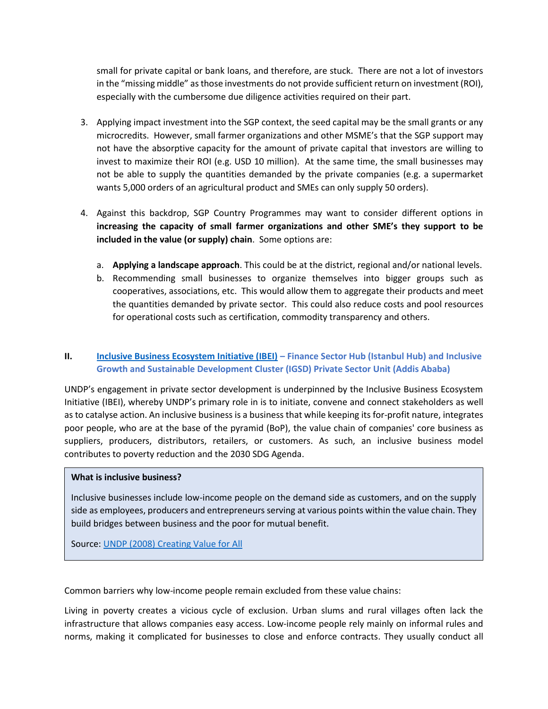small for private capital or bank loans, and therefore, are stuck. There are not a lot of investors in the "missing middle" as those investments do not provide sufficient return on investment (ROI), especially with the cumbersome due diligence activities required on their part.

- 3. Applying impact investment into the SGP context, the seed capital may be the small grants or any microcredits. However, small farmer organizations and other MSME's that the SGP support may not have the absorptive capacity for the amount of private capital that investors are willing to invest to maximize their ROI (e.g. USD 10 million). At the same time, the small businesses may not be able to supply the quantities demanded by the private companies (e.g. a supermarket wants 5,000 orders of an agricultural product and SMEs can only supply 50 orders).
- 4. Against this backdrop, SGP Country Programmes may want to consider different options in **increasing the capacity of small farmer organizations and other SME's they support to be included in the value (or supply) chain**. Some options are:
	- a. **Applying a landscape approach**. This could be at the district, regional and/or national levels.
	- b. Recommending small businesses to organize themselves into bigger groups such as cooperatives, associations, etc. This would allow them to aggregate their products and meet the quantities demanded by private sector. This could also reduce costs and pool resources for operational costs such as certification, commodity transparency and others.

### **II. [Inclusive Business Ecosystem Initiative \(IBEI\)](https://www.africa.undp.org/content/rba/en/home/about-us/AFIM/inclusive-business-in-africa0.html) – Finance Sector Hub (Istanbul Hub) and Inclusive Growth and Sustainable Development Cluster (IGSD) Private Sector Unit (Addis Ababa)**

UNDP's engagement in private sector development is underpinned by the Inclusive Business Ecosystem Initiative (IBEI), whereby UNDP's primary role in is to initiate, convene and connect stakeholders as well as to catalyse action. An inclusive business is a business that while keeping its for-profit nature, integrates poor people, who are at the base of the pyramid (BoP), the value chain of companies' core business as suppliers, producers, distributors, retailers, or customers. As such, an inclusive business model contributes to poverty reduction and the 2030 SDG Agenda.

#### **What is inclusive business?**

Inclusive businesses include low-income people on the demand side as customers, and on the supply side as employees, producers and entrepreneurs serving at various points within the value chain. They build bridges between business and the poor for mutual benefit.

Source[: UNDP \(2008\) Creating Value for All](https://www.rw.undp.org/content/rwanda/en/home/library/poverty/creating-value-for-all---strategies-for-doing-business-with-the-.html#:~:text=Creating%20Value%20for%20All%3A%20Strategies%20for%20Doing%20Business,1%20July%202008%20by%20the%20UN%20Development%20Programme.)

Common barriers why low-income people remain excluded from these value chains:

Living in poverty creates a vicious cycle of exclusion. Urban slums and rural villages often lack the infrastructure that allows companies easy access. Low-income people rely mainly on informal rules and norms, making it complicated for businesses to close and enforce contracts. They usually conduct all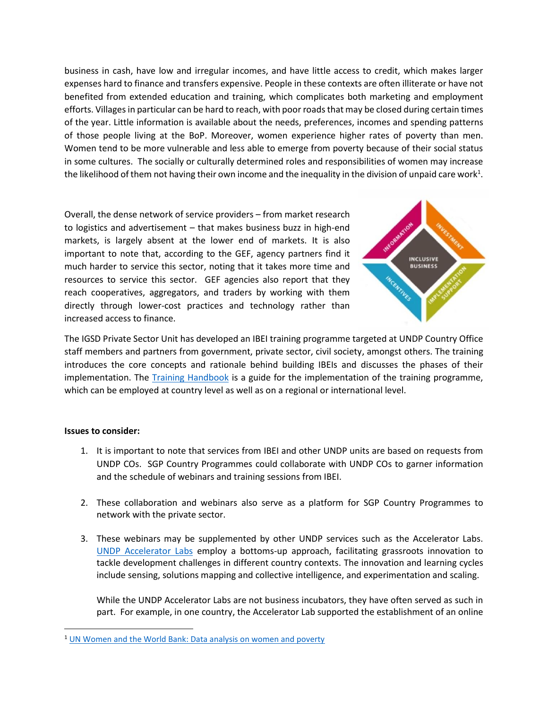business in cash, have low and irregular incomes, and have little access to credit, which makes larger expenses hard to finance and transfers expensive. People in these contexts are often illiterate or have not benefited from extended education and training, which complicates both marketing and employment efforts. Villages in particular can be hard to reach, with poor roads that may be closed during certain times of the year. Little information is available about the needs, preferences, incomes and spending patterns of those people living at the BoP. Moreover, women experience higher rates of poverty than men. Women tend to be more vulnerable and less able to emerge from poverty because of their social status in some cultures. The socially or culturally determined roles and responsibilities of women may increase the likelihood of them not having their own income and the inequality in the division of unpaid care work $^1$ .

Overall, the dense network of service providers – from market research to logistics and advertisement – that makes business buzz in high-end markets, is largely absent at the lower end of markets. It is also important to note that, according to the GEF, agency partners find it much harder to service this sector, noting that it takes more time and resources to service this sector. GEF agencies also report that they reach cooperatives, aggregators, and traders by working with them directly through lower-cost practices and technology rather than increased access to finance.



The IGSD Private Sector Unit has developed an IBEI training programme targeted at UNDP Country Office staff members and partners from government, private sector, civil society, amongst others. The training introduces the core concepts and rationale behind building IBEIs and discusses the phases of their implementation. The [Training Handbook](https://www.africa.undp.org/content/rba/en/home/about-us/AFIM/inclusive-business-in-africa0.html) is a guide for the implementation of the training programme, which can be employed at country level as well as on a regional or international level.

### **Issues to consider:**

- 1. It is important to note that services from IBEI and other UNDP units are based on requests from UNDP COs. SGP Country Programmes could collaborate with UNDP COs to garner information and the schedule of webinars and training sessions from IBEI.
- 2. These collaboration and webinars also serve as a platform for SGP Country Programmes to network with the private sector.
- 3. These webinars may be supplemented by other UNDP services such as the Accelerator Labs. [UNDP Accelerator Labs](https://acceleratorlabs.undp.org/) employ a bottoms-up approach, facilitating grassroots innovation to tackle development challenges in different country contexts. The innovation and learning cycles include sensing, solutions mapping and collective intelligence, and experimentation and scaling.

While the UNDP Accelerator Labs are not business incubators, they have often served as such in part. For example, in one country, the Accelerator Lab supported the establishment of an online

<sup>&</sup>lt;sup>1</sup> [UN Women and the World Bank: Data analysis on women and poverty](https://www.unwomen.org/en/news/stories/2017/11/news-un-women-and-the-world-bank-unveil-new-data-analysis-on-women-and-poverty)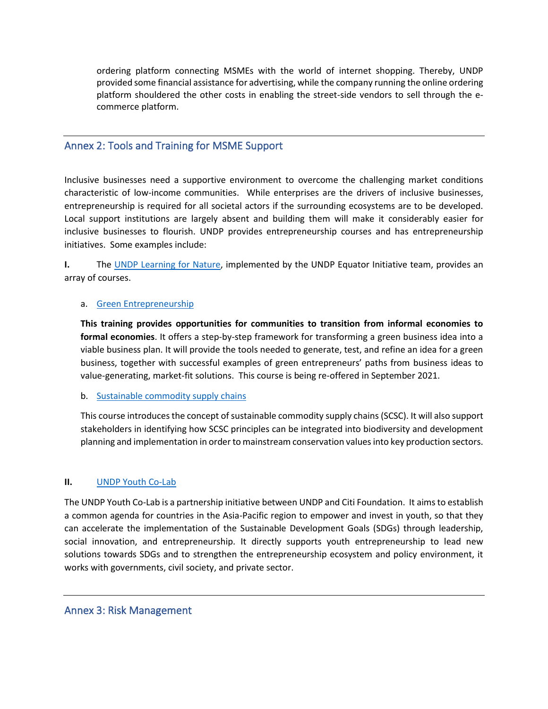ordering platform connecting MSMEs with the world of internet shopping. Thereby, UNDP provided some financial assistance for advertising, while the company running the online ordering platform shouldered the other costs in enabling the street-side vendors to sell through the ecommerce platform.

### Annex 2: Tools and Training for MSME Support

Inclusive businesses need a supportive environment to overcome the challenging market conditions characteristic of low-income communities. While enterprises are the drivers of inclusive businesses, entrepreneurship is required for all societal actors if the surrounding ecosystems are to be developed. Local support institutions are largely absent and building them will make it considerably easier for inclusive businesses to flourish. UNDP provides entrepreneurship courses and has entrepreneurship initiatives. Some examples include:

**I.** The [UNDP Learning for Nature,](https://www.learningfornature.org/en/about/) implemented by the UNDP Equator Initiative team, provides an array of courses.

### a. [Green Entrepreneurship](https://www.learningfornature.org/en/courses/green-entrepreneurship/?__cf_chl_jschl_tk__=d98d87d4699ab10a798cef06cc0574564f1e53f8-1614281875-0-AbNgy5qf5gbsGmrww89tytGTOIdJBQxnTHp6DaA8nmQKt16O7uTh7zl0674WTAcWvZeqPMgZIp-l6FBgtAVEVkzPWiMXehNDqii1-AOa80VdUCowpsYwyvYtRKZKwZfdI--DX52WTEjM7uXjCAomB6P00kmZeKuc49-2vuAAlYYcn_z-4dL2F3HmNRk-GQv_0jz3_vHDw1vIa2xsHrNDu-NUCQFjuG97NMAbVpfk67aO0D5I2_ysE8hkJH6g5jmQyNV3vm-m3aCwBmLPhW3aRdMnOz94dirMJdJEu3Sb3j4Knv0dmPQo3K4N2pQOE18w26AwroBwV_gpGZtWxszNI_uXVgQdBoed2LoFrduvzqLS)

**This training provides opportunities for communities to transition from informal economies to formal economies**. It offers a step-by-step framework for transforming a green business idea into a viable business plan. It will provide the tools needed to generate, test, and refine an idea for a green business, together with successful examples of green entrepreneurs' paths from business ideas to value-generating, market-fit solutions. This course is being re-offered in September 2021.

### b. [Sustainable commodity supply chains](https://www.learningfornature.org/en/courses/nature-based-solutions-for-sustainable-development/)

This course introduces the concept of sustainable commodity supply chains (SCSC). It will also support stakeholders in identifying how SCSC principles can be integrated into biodiversity and development planning and implementation in order to mainstream conservation values into key production sectors.

### **II.** [UNDP Youth Co-Lab](https://www.youthcolab.org/)

The UNDP Youth Co-Lab is a partnership initiative between UNDP and Citi Foundation. It aims to establish a common agenda for countries in the Asia-Pacific region to empower and invest in youth, so that they can accelerate the implementation of the Sustainable Development Goals (SDGs) through leadership, social innovation, and entrepreneurship. It directly supports youth entrepreneurship to lead new solutions towards SDGs and to strengthen the entrepreneurship ecosystem and policy environment, it works with governments, civil society, and private sector.

### Annex 3: Risk Management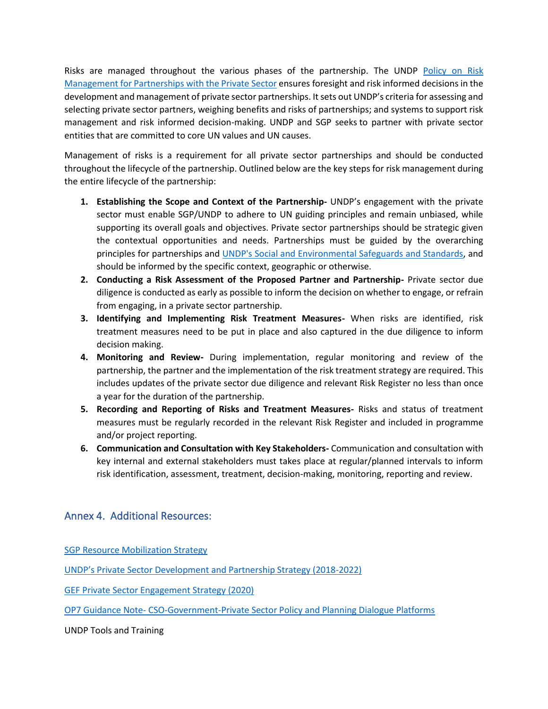Risks are managed throughout the various phases of the partnership. The UNDP [Policy on Risk](https://undp.sharepoint.com/teams/psrm/Risk%20Management%20Library/Forms/AllItems.aspx?id=/teams/psrm/Risk%20Management%20Library/Priv%20Sector%20Risk%20Policy_draft_Jun2020_v4.pdf&parent=/teams/psrm/Risk%20Management%20Library)  Management for [Partnerships with the Private Sector](https://undp.sharepoint.com/teams/psrm/Risk%20Management%20Library/Forms/AllItems.aspx?id=/teams/psrm/Risk%20Management%20Library/Priv%20Sector%20Risk%20Policy_draft_Jun2020_v4.pdf&parent=/teams/psrm/Risk%20Management%20Library) ensures foresight and risk informed decisions in the development and management of private sector partnerships. It sets out UNDP's criteria for assessing and selecting private sector partners, weighing benefits and risks of partnerships; and systems to support risk management and risk informed decision-making. UNDP and SGP seeks to partner with private sector entities that are committed to core UN values and UN causes.

Management of risks is a requirement for all private sector partnerships and should be conducted throughout the lifecycle of the partnership. Outlined below are the key steps for risk management during the entire lifecycle of the partnership:

- **1. Establishing the Scope and Context of the Partnership-** UNDP's engagement with the private sector must enable SGP/UNDP to adhere to UN guiding principles and remain unbiased, while supporting its overall goals and objectives. Private sector partnerships should be strategic given the contextual opportunities and needs. Partnerships must be guided by the overarching principles for partnerships and [UNDP's Social and Environmental Safeguards and Standards,](https://www.undp.org/content/undp/en/home/accountability/social-and-environmental-responsibility/social-and-environmental-standards.html) and should be informed by the specific context, geographic or otherwise.
- **2. Conducting a Risk Assessment of the Proposed Partner and Partnership-** Private sector due diligence is conducted as early as possible to inform the decision on whether to engage, or refrain from engaging, in a private sector partnership.
- **3. Identifying and Implementing Risk Treatment Measures-** When risks are identified, risk treatment measures need to be put in place and also captured in the due diligence to inform decision making.
- **4. Monitoring and Review-** During implementation, regular monitoring and review of the partnership, the partner and the implementation of the risk treatment strategy are required. This includes updates of the private sector due diligence and relevant Risk Register no less than once a year for the duration of the partnership.
- **5. Recording and Reporting of Risks and Treatment Measures-** Risks and status of treatment measures must be regularly recorded in the relevant Risk Register and included in programme and/or project reporting.
- **6. Communication and Consultation with Key Stakeholders-** Communication and consultation with key internal and external stakeholders must takes place at regular/planned intervals to inform risk identification, assessment, treatment, decision-making, monitoring, reporting and review.

# Annex 4. Additional Resources:

[SGP Resource Mobilization Strategy](http://sgp.undp.org/intranet/public/fmshare/q3G3)

[UNDP's Private Sector Development and Partnership Strategy \(2018](https://www.undp.org/content/undp/en/home/librarypage/poverty-reduction/private_sector/undp-private-sector-strategy-2018-2022.html)-2022)

[GEF Private Sector Engagement Strategy \(2020\)](https://www.thegef.org/sites/default/files/council-meetingdocuments/EN_GEF.C.59.07.Rev_.01_GEFs%20Private%20Sector%20Engagement%20Strategy_.pdf)

OP7 Guidance Note- [CSO-Government-Private Sector Policy and Planning Dialogue Platforms](http://sgp.undp.org/intranet/public/fmshare/jq9b)

UNDP Tools and Training